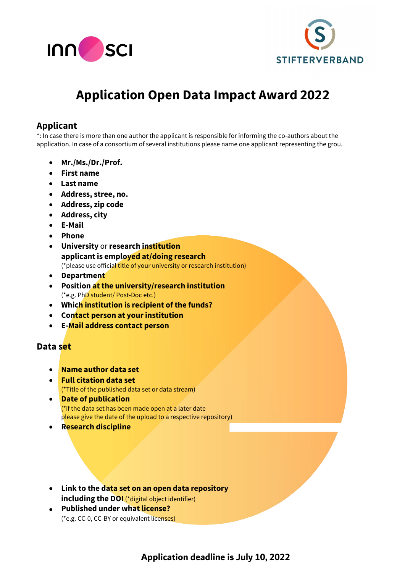



# **Application Open Data Impact Award 2022**

#### **Applicant**

\*: In case there is more than one author the applicant is responsible for informing the co-authors about the application. In case of a consortium of several institutions please name one applicant representing the grou.

- **Mr./Ms./Dr./Prof.**
- **First name**
- **Last name**
- **Address, stree, no.**
- **Address, zip code**
- **Address, city**
- **E-Mail**
- **Phone**
- **University** or **research institution applicantis employed at/doing research** (\*please use official title of your university or research institution)
- **Department**
- **Position at the university/research institution** (\*e.g. PhD student/ Post-Doc etc.)
- **Which institution is recipient of the funds?**
- **Contact person at your institution**
- **E-Mail address contact person**

#### **Data set**

- **Name author data set**
- **Full citation data set** (\*Title of the published data set or data stream)
- **Date of publication** (\*if the data set has been made open at a later date please give the date of the upload to a respective repository)
- **Research discipline**
- **Link to the data set on an open data repository including the DOI** (\*digital object identifier)
- **Published under what license?** (\*e.g. CC-0, CC-BY or equivalent licenses)

## **Application deadline is July 10, 2022**